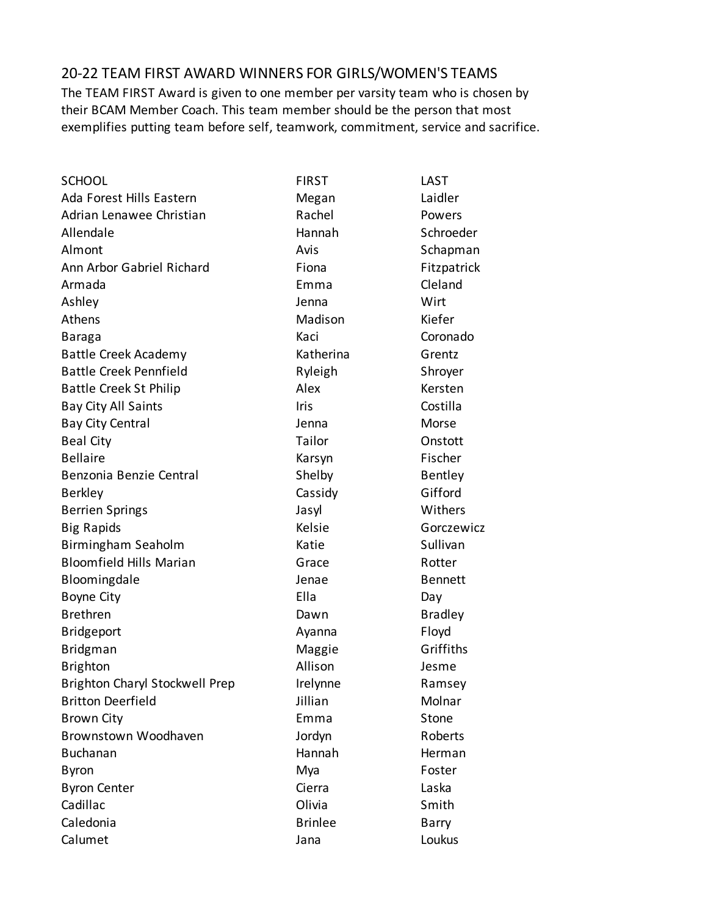## 20-22 TEAM FIRST AWARD WINNERS FOR GIRLS/WOMEN'S TEAMS

The TEAM FIRST Award is given to one member per varsity team who is chosen by their BCAM Member Coach. This team member should be the person that most exemplifies putting team before self, teamwork, commitment, service and sacrifice.

| <b>SCHOOL</b>                         | <b>FIRST</b>   | LAST           |
|---------------------------------------|----------------|----------------|
| Ada Forest Hills Eastern              | Megan          | Laidler        |
| Adrian Lenawee Christian              | Rachel         | Powers         |
| Allendale                             | Hannah         | Schroeder      |
| Almont                                | Avis           | Schapman       |
| Ann Arbor Gabriel Richard             | Fiona          | Fitzpatrick    |
| Armada                                | Emma           | Cleland        |
| Ashley                                | Jenna          | Wirt           |
| Athens                                | Madison        | Kiefer         |
| Baraga                                | Kaci           | Coronado       |
| <b>Battle Creek Academy</b>           | Katherina      | Grentz         |
| <b>Battle Creek Pennfield</b>         | Ryleigh        | Shroyer        |
| <b>Battle Creek St Philip</b>         | Alex           | Kersten        |
| Bay City All Saints                   | Iris           | Costilla       |
| <b>Bay City Central</b>               | Jenna          | Morse          |
| <b>Beal City</b>                      | Tailor         | Onstott        |
| <b>Bellaire</b>                       | Karsyn         | Fischer        |
| Benzonia Benzie Central               | Shelby         | <b>Bentley</b> |
| <b>Berkley</b>                        | Cassidy        | Gifford        |
| <b>Berrien Springs</b>                | Jasyl          | Withers        |
| <b>Big Rapids</b>                     | Kelsie         | Gorczewicz     |
| Birmingham Seaholm                    | Katie          | Sullivan       |
| <b>Bloomfield Hills Marian</b>        | Grace          | Rotter         |
| Bloomingdale                          | Jenae          | <b>Bennett</b> |
| Boyne City                            | Ella           | Day            |
| <b>Brethren</b>                       | Dawn           | <b>Bradley</b> |
| <b>Bridgeport</b>                     | Ayanna         | Floyd          |
| <b>Bridgman</b>                       | Maggie         | Griffiths      |
| <b>Brighton</b>                       | Allison        | Jesme          |
| <b>Brighton Charyl Stockwell Prep</b> | Irelynne       | Ramsey         |
| <b>Britton Deerfield</b>              | Jillian        | Molnar         |
| <b>Brown City</b>                     | Emma           | Stone          |
| Brownstown Woodhaven                  | Jordyn         | Roberts        |
| <b>Buchanan</b>                       | Hannah         | Herman         |
| <b>Byron</b>                          | Mya            | Foster         |
| <b>Byron Center</b>                   | Cierra         | Laska          |
| Cadillac                              | Olivia         | Smith          |
| Caledonia                             | <b>Brinlee</b> | Barry          |
| Calumet                               | Jana           | Loukus         |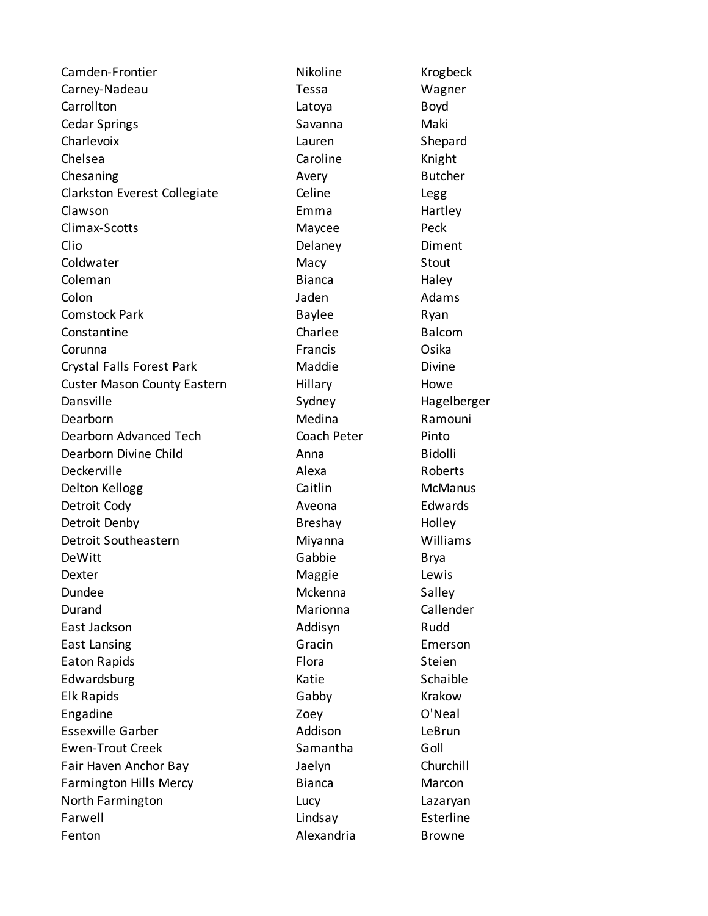Camden-Frontier Nikoline Nikoline Krogbeck Carney-Nadeau Tessa Wagner Carrollton Latoya Boyd Cedar Springs Savanna Maki Charlevoix Lauren Shepard Chelsea **Caroline** Caroline Knight Chesaning **Avery** Avery Butcher Clarkston Everest Collegiate Celine Legg Clawson **Emma** Emma Hartley Climax-Scotts Maycee Peck Clio Delaney Diment Coldwater **Macy** Macy Stout Coleman **Bianca** Haley Colon and Colon and Colon and Colon and Colon and Colon and Colon and Adams Comstock Park **Baylee Baylee** Ryan Constantine Charlee Charlee Balcom Corunna **Francis** Corunna Cosika Crystal Falls Forest Park Maddie Maddie Divine Custer Mason County Eastern Hillary Hillary Howe Dansville **Sydney** Sydney Hagelberger Dearborn **Medina** Ramouni Dearborn Advanced Tech Coach Peter Pinto Dearborn Divine Child **Anna** Anna Bidolli Deckerville **Alexa** Alexa Roberts Delton Kellogg Caitlin Caitlin McManus Detroit Cody **Aveona** Aveona Edwards Detroit Denby **Breshay** Breshay Holley Detroit Southeastern **Miyanna** Miyanna Williams DeWitt Brya Dexter **Contract Contract Contract Contract Contract Contract Contract Contract Contract Contract Contract Contract Contract Contract Contract Contract Contract Contract Contract Contract Contract Contract Contract Contrac** Dundee Mckenna Salley Durand Marionna Callender East Jackson **Addisyn** Addisyn Rudd East Lansing Gracin Emerson Eaton Rapids **Flora** Flora Steien Edwardsburg Communication Communication Communication Communication Schaible Elk Rapids Gabby Krakow Engadine Zoey O'Neal Essexville Garber **Addison** LeBrun Ewen-Trout Creek **Samantha** Goll Fair Haven Anchor Bay Jaelyn Churchill Farmington Hills Mercy **Bianca** Bianca Marcon North Farmington **Lucy** Lucy Lazaryan Farwell **Exercise Exterior** Lindsay **Esterline** Fenton **Alexandria** Browne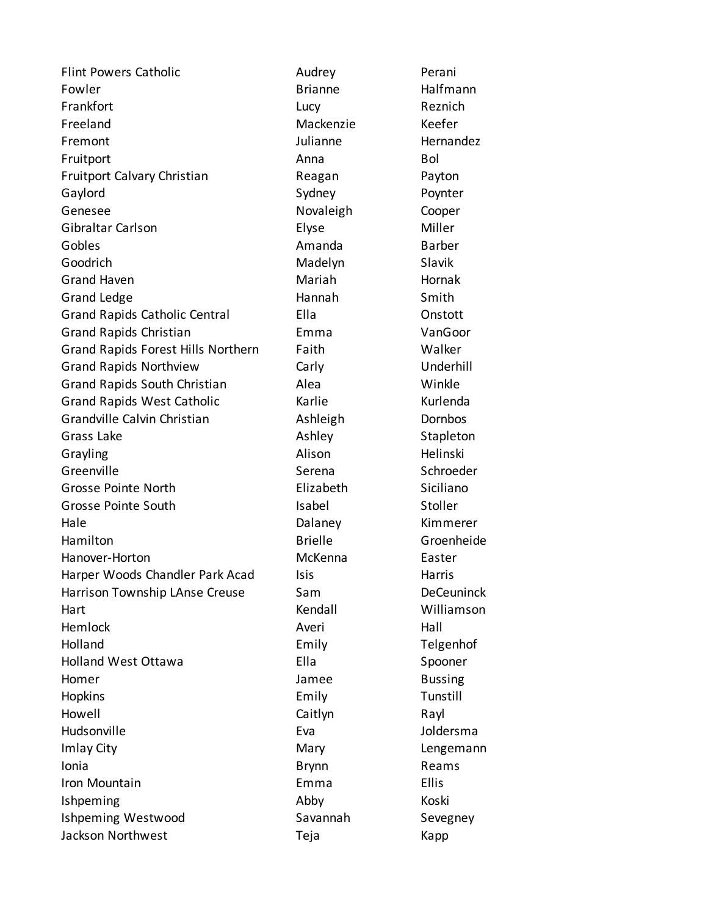Flint Powers Catholic **Audrey Perani** Fowler **Brianne** Halfmann Frankfort Lucy Reznich Freeland Mackenzie Keefer Fremont **Fremont Fremont Hernandez** Fruitport **Anna** Bol Fruitport Calvary Christian **Reagan** Payton Gaylord **Sydney** Sydney **Poynter** Genesee Novaleigh Cooper Gibraltar Carlson **Elyse** Elyse Miller Gobles **Amanda** Barber Goodrich **Madelyn** Slavik Grand Haven **Mariah** Mariah Hornak Grand Ledge **Hannah** Smith Grand Rapids Catholic Central Ella Onstott Grand Rapids Christian Emma VanGoor Grand Rapids Forest Hills Northern Faith Faith Walker Grand Rapids Northview Carly Carly Underhill Grand Rapids South Christian Alea Alea Grand Rapids West Catholic Karlie Kurlenda Grandville Calvin Christian **Ashleigh** Dornbos Grass Lake **Ashley** Ashley Stapleton Grayling **Alison** Alison Helinski Greenville Serena Serena Schroeder Grosse Pointe North Elizabeth Siciliano Grosse Pointe South **Isabel** Isabel Stoller Hale Dalaney Kimmerer Hamilton **Brielle** Brielle Groenheide Hanover-Horton **McKenna** Easter Harper Woods Chandler Park Acad Isis Harris Harrison Township LAnse Creuse Sam Sam DeCeuninck Hart Kendall Williamson Hemlock **Averi** Averi Hall Holland Emily Telgenhof Holland West Ottawa **Ella** Ella Spooner Homer **Homes Homes Bussing** Hopkins Emily Tunstill Howell Caitlyn Rayl Hudsonville **Eva** Eva Joldersma Imlay City **Mary** Mary Mary **Lengemann** Ionia Brynn Reams Iron Mountain **Iron Mountain** Ellis Ishpeming **Abby** Abby Koski Ishpeming Westwood Savannah Sevegney Jackson Northwest Teja Kapp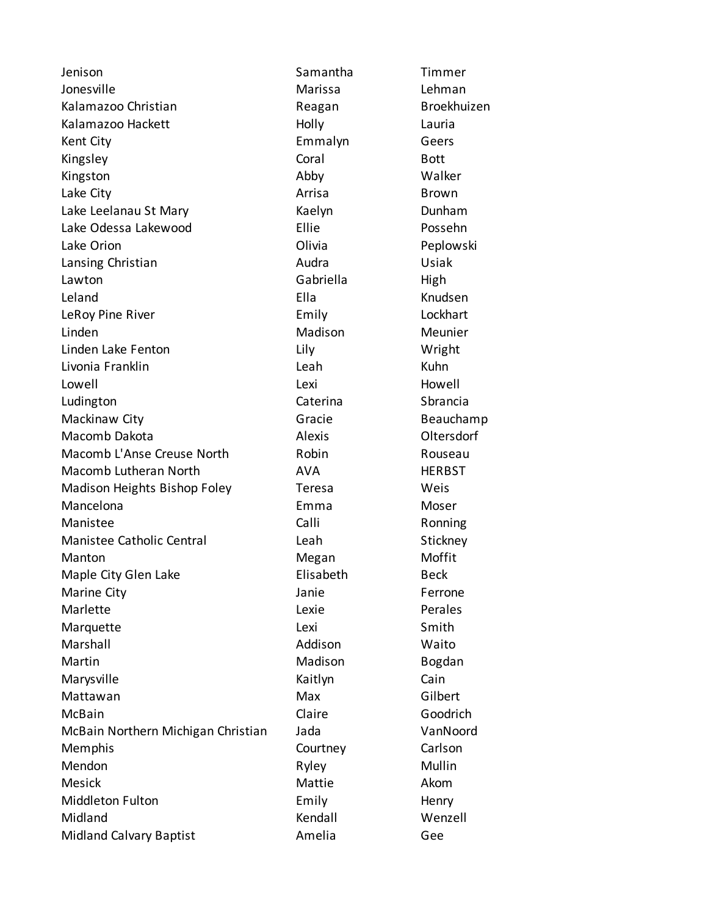Jenison Samantha Timmer Jonesville Marissa Lehman Kalamazoo Christian **Reagan** Broekhuizen Kalamazoo Hackett **Holly** Holly Lauria Kent City Emmalyn Geers Kingsley **Coral** Bott Kingston **Abby** Abby Walker Lake City **Arrisa** Brown Lake Leelanau St Mary **Kaelyn** Kaelyn Dunham Lake Odessa Lakewood Ellie Possehn Lake Orion **Contact Contact Contact Contact Contact Contact Contact Contact Contact Contact Contact Contact Contact Contact Contact Contact Contact Contact Contact Contact Contact Contact Contact Contact Contact Contact Co** Lansing Christian **Audra** Audra **Christian** Usiak Lawton **Gabriella** High Leland Ella Knudsen LeRoy Pine River **Emily** Emily Lockhart Linden Madison Meunier Linden Lake Fenton Lily Wright Livonia Franklin Leah Kuhn Lowell **Example 20** Lexi Lexi **Howell** Ludington Caterina Sbrancia Mackinaw City **Gracie** Gracie Beauchamp Macomb Dakota Alexis Oltersdorf Macomb L'Anse Creuse North Robin Robin Rouseau Macomb Lutheran North **AVA** AVA HERBST Madison Heights Bishop Foley Teresa Weis Mancelona Emma Moser Manistee Calli Calli Ronning Manistee Catholic Central **Leah** Leah Stickney Manton **Megan** Megan Moffit Maple City Glen Lake **Elisabeth** Beck Marine City **Marine City Marine City** *Perrone* Marlette **Contract Contract Contract Contract Contract Contract Contract Contract Contract Contract Contract Contract Contract Contract Contract Contract Contract Contract Contract Contract Contract Contract Contract Contr** Marquette **Lexi** Lexi Smith Marshall **Marshall** Addison Maito Martin Madison Bogdan Marysville **Cain** Kaitlyn Cain Mattawan Max Gilbert McBain Claire Goodrich McBain Northern Michigan Christian Jada VanNoord Memphis Courtney Courtney Carlson Mendon **Mullin** Ryley **Mullin** Mesick and the Mattie Mattie Akom Middleton Fulton **Emily** Emily Henry Midland **Kendall** Wenzell **Midland** Midland Calvary Baptist **Amelia** Amelia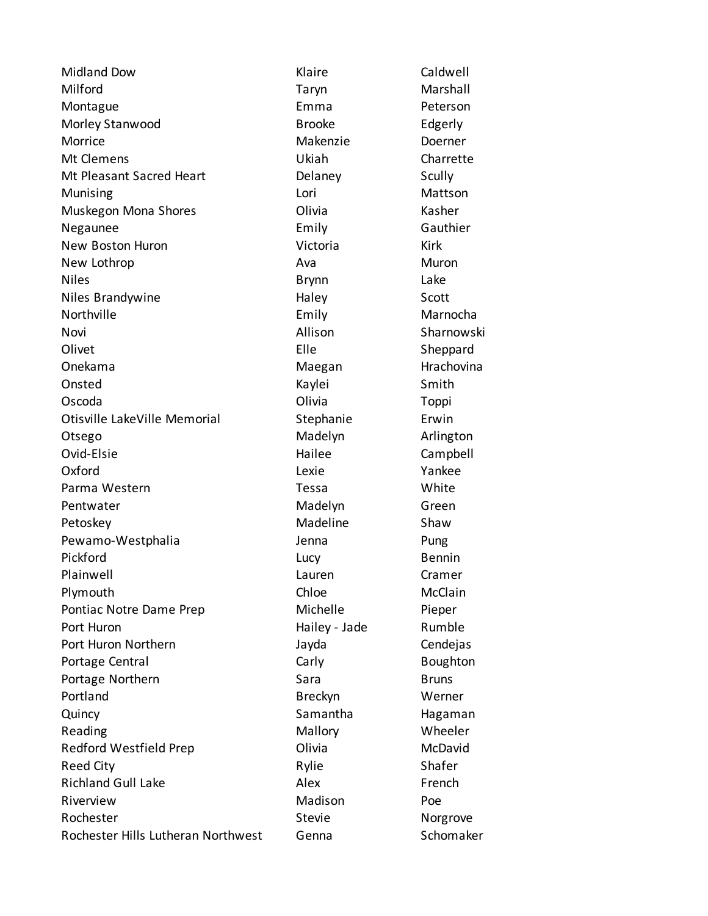Midland Dow **Klaire** Caldwell Milford Taryn Marshall Montague **Emma** Peterson Morley Stanwood and Brooke Edgerly Morrice **Makenzie** Doerner Mt Clemens Ukiah Charrette Mt Pleasant Sacred Heart **Delaney** Scully Munising **Munising Contract Contract Contract Contract Contract Contract Contract Contract Contract Contract Contract Contract Contract Contract Contract Contract Contract Contract Contract Contract Contract Contract Con** Muskegon Mona Shores **Constanting Constructs** Olivia Kasher Negaunee **Emily** Emily Gauthier New Boston Huron **New Boston Huron** Nictoria New Lothrop **Ava** Ava Muron Niles **Example 2018** Controller Brynn Cake Niles Brandywine **Niles Brandywine Niles Brandywine** Northville **Emily** Emily Marnocha Novi **Novi Allison** Allison Sharnowski Olivet **Elle** Sheppard Onekama **Maegan** Maegan Hrachovina Onsted Smith Constant Constant Constant Constant Constant Constant Constant Constant Constant Constant Constant Oscoda Olivia Toppi Otisville LakeVille Memorial **Stephanie** Erwin Otsego Madelyn Arlington Ovid-Elsie Hailee Campbell Oxford **COMING COMING COMING CONTROL** Lexie **COMING COMING COMPOSE** Parma Western **Tessa** Tessa Pentwater **Madelyn** Green Petoskey **Madeline** Shaw Pewamo-Westphalia and Jenna Pung Pickford **Exercise Exercise Exercise Contracts** Lucy **Bennin** Plainwell **Camer** Cramer Lauren Lauren Cramer Plymouth Chloe Chloe McClain Pontiac Notre Dame Prep **Michelle** Pieper Port Huron **Hailey - Jade** Rumble Port Huron Northern **Called According to According the Cendejas** Cendejas Portage Central **Carly** Carly Carly Boughton Portage Northern Sara Sara Bruns Portland **Breckyn** Breckyn Werner Quincy Samantha Hagaman Reading **Mallory** Mallory **Mallory** Mallory **Mallory** Meeler Redford Westfield Prep Controller Colivia Controller McDavid Reed City **Rylie** Rylie Shafer Richland Gull Lake Alex Alex French Riverview **Madison** Poe Rochester Stevie Stevie Norgrove Rochester Hills Lutheran Northwest Genna Schomaker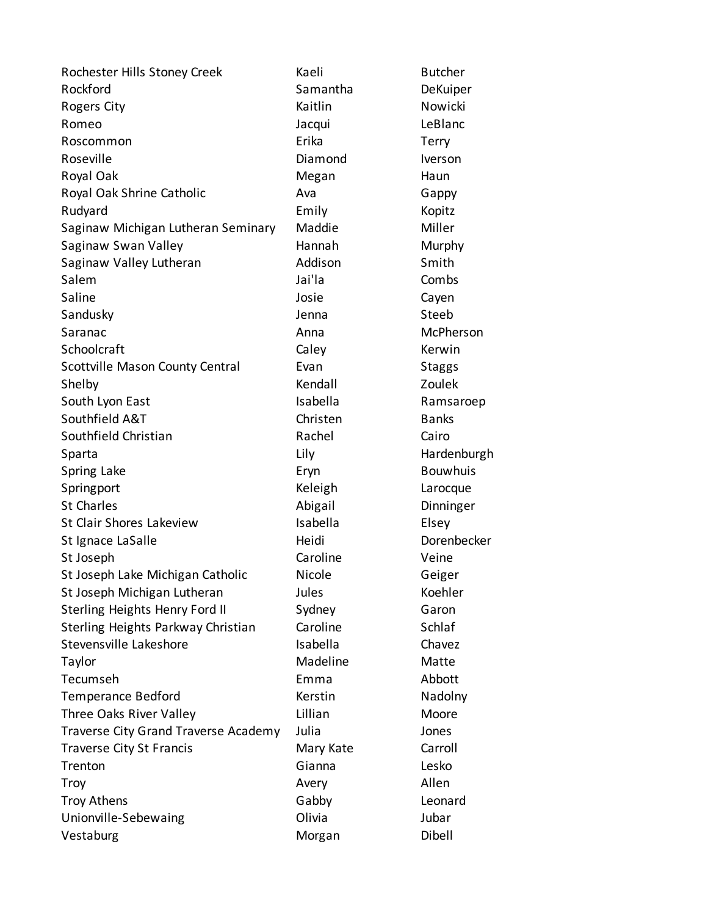Rochester Hills Stoney Creek Kaeli Kaeli Butcher Rockford **Samantha** DeKuiper Rogers City **Nowicki** Kaitlin Nowicki Romeo **Canadian Accepts and Accepts** Jacqui **LeBlanc** Roscommon **Erika** Terry Roseville **Note and Iverson** Diamond Iverson Royal Oak **Megan** Megan Haun Royal Oak Shrine Catholic **Ava** Ava Gappy Rudyard **Emily** Emily Kopitz Saginaw Michigan Lutheran Seminary Maddie Miller Saginaw Swan Valley **Hannah** Murphy Saginaw Valley Lutheran **Addison** Smith Salem Jai'la Combs Saline Cayen Sandusky **Sandusky** Jenna Steeb Saranac **Anna** McPherson Schoolcraft Caley Caley Kerwin Scottville Mason County Central Evan Evan Staggs Shelby **Example 2018** Kendall **Kendall** Zoulek South Lyon East **Isabella** Ramsaroep Southfield A&T Christen Banks Southfield Christian **Rachel** Rachel Cairo Sparta **Example 2018** Lily Hardenburgh Spring Lake **Eryn** Eryn Bouwhuis Springport **Contract Contract Contract Contract Contract Contract Contract Contract Contract Contract Contract Contract Contract Contract Contract Contract Contract Contract Contract Contract Contract Contract Contract Con** St Charles **Abigail** Dinninger St Clair Shores Lakeview **Isabella** Elsey St Ignace LaSalle **Heidi** Heidi Dorenbecker St Joseph **Caroline** Veine St Joseph Lake Michigan Catholic Nicole Geiger St Joseph Michigan Lutheran Jules Jules Koehler Sterling Heights Henry Ford II Sydney Garon Sterling Heights Parkway Christian Caroline Schlaf Stevensville Lakeshore **Isabella** Chavez Taylor **Matters** Madeline Matte Tecumseh Emma Abbott Temperance Bedford **Kerstin** Kerstin Nadolny Three Oaks River Valley **Noble 2018** Lillian Moore Traverse City Grand Traverse Academy Julia Jones Traverse City St Francis **Mary Kate** Carroll Trenton Gianna Lesko Troy Avery Allen Troy Athens **Cabby** Gabby **Cabby** Leonard Unionville-Sebewaing **Olivia** Olivia Jubar Vestaburg **Morgan** Dibell